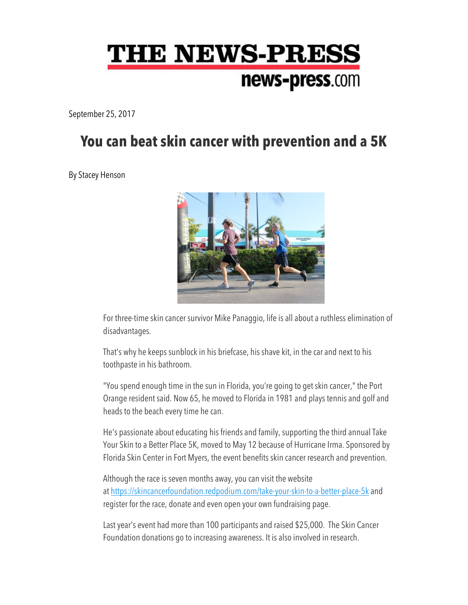## **THE NEWS-PRESS** news-press.com

September 25, 2017

## **You can beat skin cancer with prevention and a 5K**

By Stacey Henson



For three-time skin cancer survivor Mike Panaggio, life is all about a ruthless elimination of disadvantages.

That's why he keeps sunblock in his briefcase, his shave kit, in the car and next to his toothpaste in his bathroom.

"You spend enough time in the sun in Florida, you're going to get skin cancer," the Port Orange resident said. Now 65, he moved to Florida in 1981 and plays tennis and golf and heads to the beach every time he can.

He's passionate about educating his friends and family, supporting the third annual Take Your Skin to a Better Place 5K, moved to May 12 because of Hurricane Irma. Sponsored by Florida Skin Center in Fort Myers, the event benefits skin cancer research and prevention.

Although the race is seven months away, you can visit the website at https://skincancerfoundation.redpodium.com/take-your-skin-to-a-better-place-5k and register for the race, donate and even open your own fundraising page.

Last year's event had more than 100 participants and raised \$25,000. The Skin Cancer Foundation donations go to increasing awareness. It is also involved in research.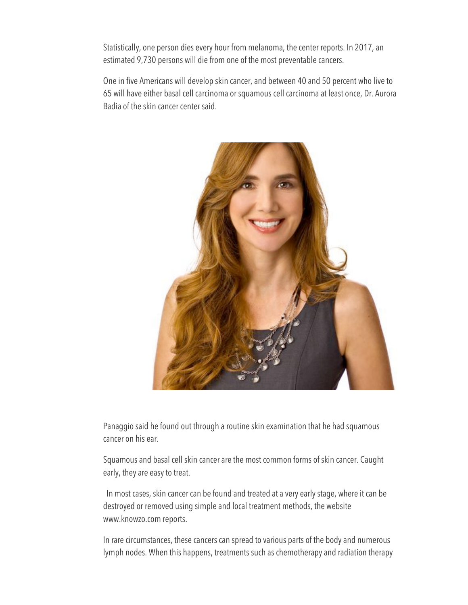Statistically, one person dies every hour from melanoma, the center reports. In 2017, an estimated 9,730 persons will die from one of the most preventable cancers.

One in five Americans will develop skin cancer, and between 40 and 50 percent who live to 65 will have either basal cell carcinoma or squamous cell carcinoma at least once, Dr. Aurora Badia of the skin cancer center said.



Panaggio said he found out through a routine skin examination that he had squamous cancer on his ear.

Squamous and basal cell skin cancer are the most common forms of skin cancer. Caught early, they are easy to treat.

In most cases, skin cancer can be found and treated at a very early stage, where it can be destroyed or removed using simple and local treatment methods, the website www.knowzo.com reports.

In rare circumstances, these cancers can spread to various parts of the body and numerous lymph nodes. When this happens, treatments such as chemotherapy and radiation therapy